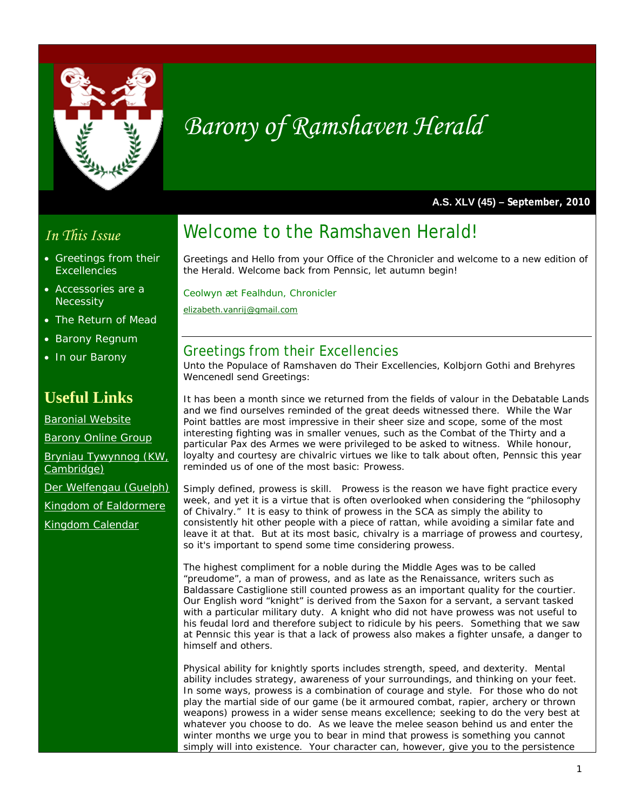

# *Barony of Ramshaven Herald*

**A.S. XLV (45) – September, 2010** 

#### *In This Issue*

- Greetings from their **Excellencies**
- Accessories are a **Necessity**
- The Return of Mead
- Barony Regnum
- In our Barony

### **Useful Links**

Baronial Website

Barony Online Group

Bryniau Tywynnog (KW, Cambridge)

Der Welfengau (Guelph)

Kingdom of Ealdormere

Kingdom Calendar

## Welcome to the Ramshaven Herald!

Greetings and Hello from your Office of the Chronicler and welcome to a new edition of the Herald. Welcome back from Pennsic, let autumn begin!

*Ceolwyn æt Fealhdun, Chronicler elizabeth.vanrij@gmail.com*

#### Greetings from their Excellencies

Unto the Populace of Ramshaven do Their Excellencies, Kolbjorn Gothi and Brehyres Wencenedl send Greetings:

It has been a month since we returned from the fields of valour in the Debatable Lands and we find ourselves reminded of the great deeds witnessed there. While the War Point battles are most impressive in their sheer size and scope, some of the most interesting fighting was in smaller venues, such as the Combat of the Thirty and a particular Pax des Armes we were privileged to be asked to witness. While honour, loyalty and courtesy are chivalric virtues we like to talk about often, Pennsic this year reminded us of one of the most basic: Prowess.

Simply defined, prowess is skill. Prowess is the reason we have fight practice every week, and yet it is a virtue that is often overlooked when considering the "philosophy of Chivalry." It is easy to think of prowess in the SCA as simply the ability to consistently hit other people with a piece of rattan, while avoiding a similar fate and leave it at that. But at its most basic, chivalry is a marriage of prowess and courtesy, so it's important to spend some time considering prowess.

The highest compliment for a noble during the Middle Ages was to be called "preudome", a man of prowess, and as late as the Renaissance, writers such as Baldassare Castiglione still counted prowess as an important quality for the courtier. Our English word "knight" is derived from the Saxon for a servant, a servant tasked with a particular military duty. A knight who did not have prowess was not useful to his feudal lord and therefore subject to ridicule by his peers. Something that we saw at Pennsic this year is that a lack of prowess also makes a fighter unsafe, a danger to himself and others.

Physical ability for knightly sports includes strength, speed, and dexterity. Mental ability includes strategy, awareness of your surroundings, and thinking on your feet. In some ways, prowess is a combination of courage and style. For those who do not play the martial side of our game (be it armoured combat, rapier, archery or thrown weapons) prowess in a wider sense means excellence; seeking to do the very best at whatever you choose to do. As we leave the melee season behind us and enter the winter months we urge you to bear in mind that prowess is something you cannot simply will into existence. Your character can, however, give you to the persistence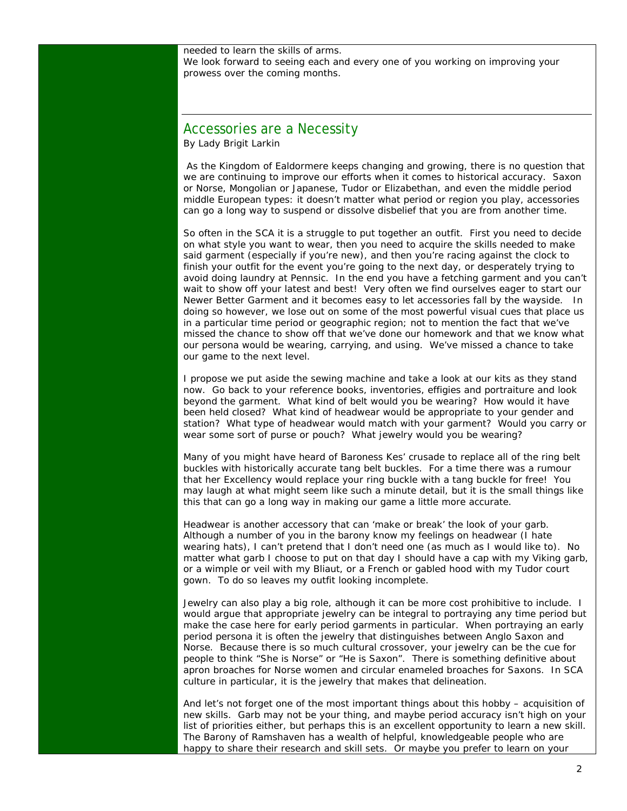needed to learn the skills of arms.

We look forward to seeing each and every one of you working on improving your prowess over the coming months.

#### Accessories are a Necessity

By Lady Brigit Larkin

 As the Kingdom of Ealdormere keeps changing and growing, there is no question that we are continuing to improve our efforts when it comes to historical accuracy. Saxon or Norse, Mongolian or Japanese, Tudor or Elizabethan, and even the middle period middle European types: it doesn't matter what period or region you play, accessories can go a long way to suspend or dissolve disbelief that you are from another time.

So often in the SCA it is a struggle to put together an outfit. First you need to decide on what style you want to wear, then you need to acquire the skills needed to make said garment (especially if you're new), and then you're racing against the clock to finish your outfit for the event you're going to the next day, or desperately trying to avoid doing laundry at Pennsic. In the end you have a fetching garment and you can't wait to show off your latest and best! Very often we find ourselves eager to start our Newer Better Garment and it becomes easy to let accessories fall by the wayside. In doing so however, we lose out on some of the most powerful visual cues that place us in a particular time period or geographic region; not to mention the fact that we've missed the chance to show off that we've done our homework and that we know what our persona would be wearing, carrying, and using. We've missed a chance to take our game to the next level.

I propose we put aside the sewing machine and take a look at our kits as they stand now. Go back to your reference books, inventories, effigies and portraiture and look beyond the garment. What kind of belt would you be wearing? How would it have been held closed? What kind of headwear would be appropriate to your gender and station? What type of headwear would match with your garment? Would you carry or wear some sort of purse or pouch? What jewelry would you be wearing?

Many of you might have heard of Baroness Kes' crusade to replace all of the ring belt buckles with historically accurate tang belt buckles. For a time there was a rumour that her Excellency would replace your ring buckle with a tang buckle for free! You may laugh at what might seem like such a minute detail, but it is the small things like this that can go a long way in making our game a little more accurate.

Headwear is another accessory that can 'make or break' the look of your garb. Although a number of you in the barony know my feelings on headwear (I hate wearing hats), I can't pretend that I don't need one (as much as I would like to). No matter what garb I choose to put on that day I should have a cap with my Viking garb, or a wimple or veil with my Bliaut, or a French or gabled hood with my Tudor court gown. To do so leaves my outfit looking incomplete.

Jewelry can also play a big role, although it can be more cost prohibitive to include. I would argue that appropriate jewelry can be integral to portraying any time period but make the case here for early period garments in particular. When portraying an early period persona it is often the jewelry that distinguishes between Anglo Saxon and Norse. Because there is so much cultural crossover, your jewelry can be the cue for people to think "She is Norse" or "He is Saxon". There is something definitive about apron broaches for Norse women and circular enameled broaches for Saxons. In SCA culture in particular, it is the jewelry that makes that delineation.

And let's not forget one of the most important things about this hobby – acquisition of new skills. Garb may not be your thing, and maybe period accuracy isn't high on your list of priorities either, but perhaps this is an excellent opportunity to learn a new skill. The Barony of Ramshaven has a wealth of helpful, knowledgeable people who are happy to share their research and skill sets. Or maybe you prefer to learn on your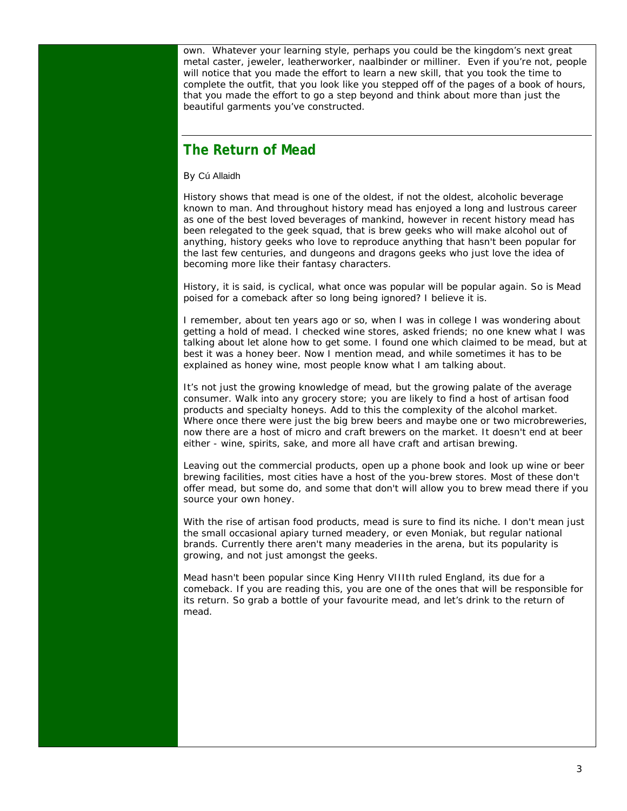own. Whatever your learning style, perhaps you could be the kingdom's next great metal caster, jeweler, leatherworker, naalbinder or milliner. Even if you're not, people will notice that you made the effort to learn a new skill, that you took the time to complete the outfit, that you look like you stepped off of the pages of a book of hours, that you made the effort to go a step beyond and think about more than just the beautiful garments you've constructed.

#### **The Return of Mead**

By Cú Allaidh

History shows that mead is one of the oldest, if not the oldest, alcoholic beverage known to man. And throughout history mead has enjoyed a long and lustrous career as one of the best loved beverages of mankind, however in recent history mead has been relegated to the geek squad, that is brew geeks who will make alcohol out of anything, history geeks who love to reproduce anything that hasn't been popular for the last few centuries, and dungeons and dragons geeks who just love the idea of becoming more like their fantasy characters.

History, it is said, is cyclical, what once was popular will be popular again. So is Mead poised for a comeback after so long being ignored? I believe it is.

I remember, about ten years ago or so, when I was in college I was wondering about getting a hold of mead. I checked wine stores, asked friends; no one knew what I was talking about let alone how to get some. I found one which claimed to be mead, but at best it was a honey beer. Now I mention mead, and while sometimes it has to be explained as honey wine, most people know what I am talking about.

It's not just the growing knowledge of mead, but the growing palate of the average consumer. Walk into any grocery store; you are likely to find a host of artisan food products and specialty honeys. Add to this the complexity of the alcohol market. Where once there were just the big brew beers and maybe one or two microbreweries, now there are a host of micro and craft brewers on the market. It doesn't end at beer either - wine, spirits, sake, and more all have craft and artisan brewing.

Leaving out the commercial products, open up a phone book and look up wine or beer brewing facilities, most cities have a host of the you-brew stores. Most of these don't offer mead, but some do, and some that don't will allow you to brew mead there if you source your own honey.

With the rise of artisan food products, mead is sure to find its niche. I don't mean just the small occasional apiary turned meadery, or even Moniak, but regular national brands. Currently there aren't many meaderies in the arena, but its popularity is growing, and not just amongst the geeks.

Mead hasn't been popular since King Henry VIIIth ruled England, its due for a comeback. If you are reading this, you are one of the ones that will be responsible for its return. So grab a bottle of your favourite mead, and let's drink to the return of mead.